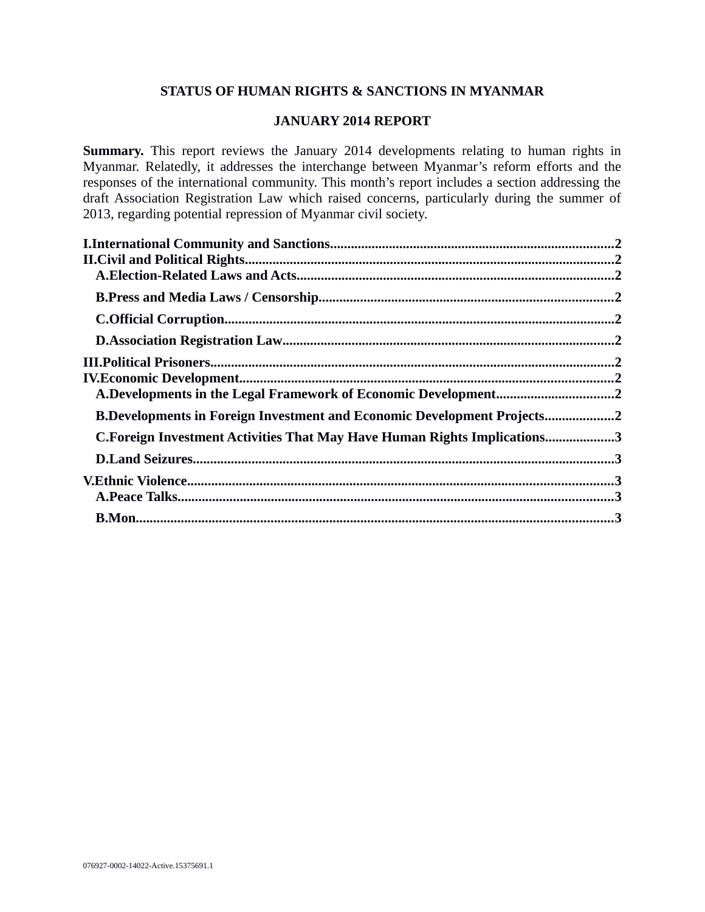# **STATUS OF HUMAN RIGHTS & SANCTIONS IN MYANMAR**

## **JANUARY 2014 REPORT**

**Summary.** This report reviews the January 2014 developments relating to human rights in Myanmar. Relatedly, it addresses the interchange between Myanmar's reform efforts and the responses of the international community. This month's report includes a section addressing the draft Association Registration Law which raised concerns, particularly during the summer of 2013, regarding potential repression of Myanmar civil society.

| A.Developments in the Legal Framework of Economic Development2                 |  |
|--------------------------------------------------------------------------------|--|
| <b>B.Developments in Foreign Investment and Economic Development Projects2</b> |  |
| C. Foreign Investment Activities That May Have Human Rights Implications3      |  |
|                                                                                |  |
|                                                                                |  |
|                                                                                |  |
|                                                                                |  |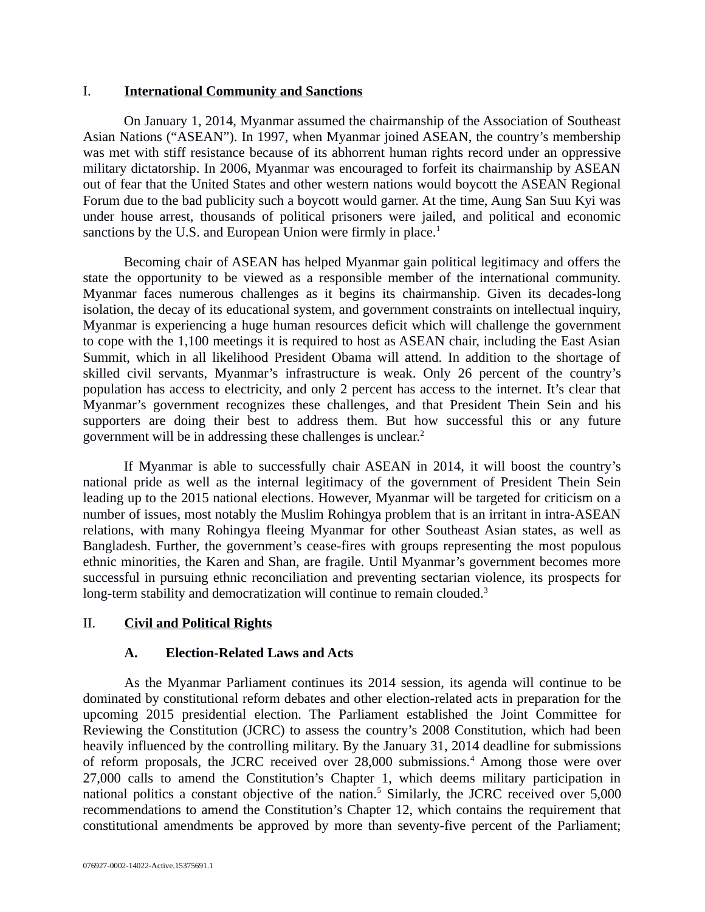### <span id="page-1-2"></span>I. **International Community and Sanctions**

On January 1, 2014, Myanmar assumed the chairmanship of the Association of Southeast Asian Nations ("ASEAN"). In 1997, when Myanmar joined ASEAN, the country's membership was met with stiff resistance because of its abhorrent human rights record under an oppressive military dictatorship. In 2006, Myanmar was encouraged to forfeit its chairmanship by ASEAN out of fear that the United States and other western nations would boycott the ASEAN Regional Forum due to the bad publicity such a boycott would garner. At the time, Aung San Suu Kyi was under house arrest, thousands of political prisoners were jailed, and political and economic sanctions by the U.S. and European Union were firmly in place.<sup>1</sup>

Becoming chair of ASEAN has helped Myanmar gain political legitimacy and offers the state the opportunity to be viewed as a responsible member of the international community. Myanmar faces numerous challenges as it begins its chairmanship. Given its decades-long isolation, the decay of its educational system, and government constraints on intellectual inquiry, Myanmar is experiencing a huge human resources deficit which will challenge the government to cope with the 1,100 meetings it is required to host as ASEAN chair, including the East Asian Summit, which in all likelihood President Obama will attend. In addition to the shortage of skilled civil servants, Myanmar's infrastructure is weak. Only 26 percent of the country's population has access to electricity, and only 2 percent has access to the internet. It's clear that Myanmar's government recognizes these challenges, and that President Thein Sein and his supporters are doing their best to address them. But how successful this or any future government will be in addressing these challenges is unclear.<sup>2</sup>

If Myanmar is able to successfully chair ASEAN in 2014, it will boost the country's national pride as well as the internal legitimacy of the government of President Thein Sein leading up to the 2015 national elections. However, Myanmar will be targeted for criticism on a number of issues, most notably the Muslim Rohingya problem that is an irritant in intra-ASEAN relations, with many Rohingya fleeing Myanmar for other Southeast Asian states, as well as Bangladesh. Further, the government's cease-fires with groups representing the most populous ethnic minorities, the Karen and Shan, are fragile. Until Myanmar's government becomes more successful in pursuing ethnic reconciliation and preventing sectarian violence, its prospects for long-term stability and democratization will continue to remain clouded.<sup>3</sup>

# II. **Civil and Political Rights**

## <span id="page-1-1"></span><span id="page-1-0"></span>**A. Election-Related Laws and Acts**

As the Myanmar Parliament continues its 2014 session, its agenda will continue to be dominated by constitutional reform debates and other election-related acts in preparation for the upcoming 2015 presidential election. The Parliament established the Joint Committee for Reviewing the Constitution (JCRC) to assess the country's 2008 Constitution, which had been heavily influenced by the controlling military. By the January 31, 2014 deadline for submissions of reform proposals, the JCRC received over 28,000 submissions.<sup>4</sup> Among those were over 27,000 calls to amend the Constitution's Chapter 1, which deems military participation in national politics a constant objective of the nation.<sup>5</sup> Similarly, the JCRC received over 5,000 recommendations to amend the Constitution's Chapter 12, which contains the requirement that constitutional amendments be approved by more than seventy-five percent of the Parliament;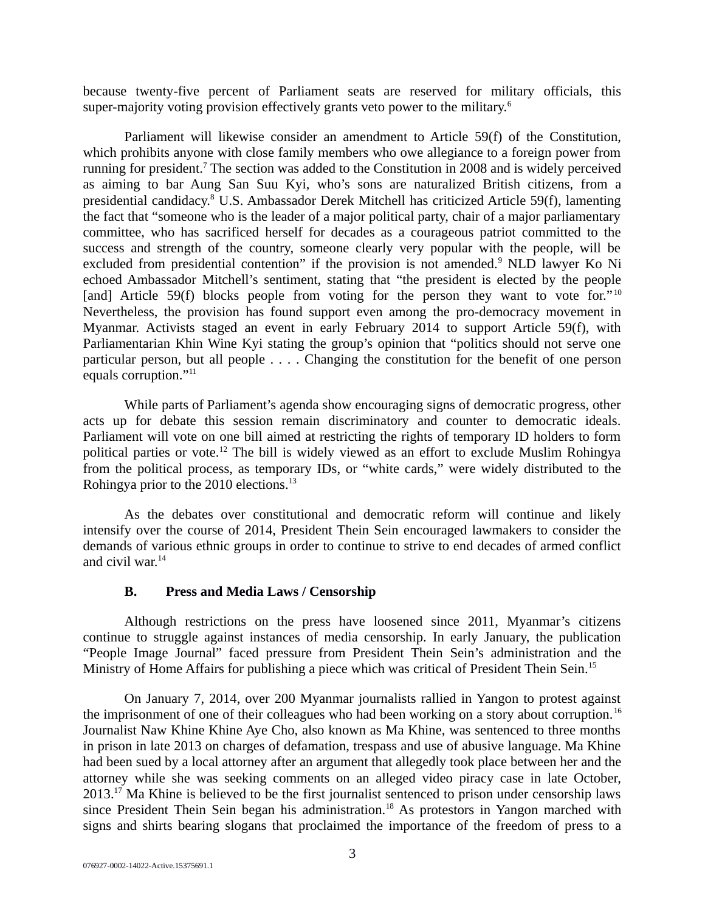because twenty-five percent of Parliament seats are reserved for military officials, this super-majority voting provision effectively grants veto power to the military.<sup>6</sup>

Parliament will likewise consider an amendment to Article 59(f) of the Constitution, which prohibits anyone with close family members who owe allegiance to a foreign power from running for president.<sup>7</sup> The section was added to the Constitution in 2008 and is widely perceived as aiming to bar Aung San Suu Kyi, who's sons are naturalized British citizens, from a presidential candidacy.<sup>8</sup> U.S. Ambassador Derek Mitchell has criticized Article 59(f), lamenting the fact that "someone who is the leader of a major political party, chair of a major parliamentary committee, who has sacrificed herself for decades as a courageous patriot committed to the success and strength of the country, someone clearly very popular with the people, will be excluded from presidential contention" if the provision is not amended.<sup>9</sup> NLD lawyer Ko Ni echoed Ambassador Mitchell's sentiment, stating that "the president is elected by the people [and] Article 59(f) blocks people from voting for the person they want to vote for."<sup>10</sup> Nevertheless, the provision has found support even among the pro-democracy movement in Myanmar. Activists staged an event in early February 2014 to support Article 59(f), with Parliamentarian Khin Wine Kyi stating the group's opinion that "politics should not serve one particular person, but all people . . . . Changing the constitution for the benefit of one person equals corruption."<sup>11</sup>

While parts of Parliament's agenda show encouraging signs of democratic progress, other acts up for debate this session remain discriminatory and counter to democratic ideals. Parliament will vote on one bill aimed at restricting the rights of temporary ID holders to form political parties or vote.<sup>12</sup> The bill is widely viewed as an effort to exclude Muslim Rohingya from the political process, as temporary IDs, or "white cards," were widely distributed to the Rohingya prior to the 2010 elections.<sup>13</sup>

As the debates over constitutional and democratic reform will continue and likely intensify over the course of 2014, President Thein Sein encouraged lawmakers to consider the demands of various ethnic groups in order to continue to strive to end decades of armed conflict and civil war.<sup>14</sup>

## <span id="page-2-0"></span>**B. Press and Media Laws / Censorship**

Although restrictions on the press have loosened since 2011, Myanmar's citizens continue to struggle against instances of media censorship. In early January, the publication "People Image Journal" faced pressure from President Thein Sein's administration and the Ministry of Home Affairs for publishing a piece which was critical of President Thein Sein.<sup>15</sup>

On January 7, 2014, over 200 Myanmar journalists rallied in Yangon to protest against the imprisonment of one of their colleagues who had been working on a story about corruption.<sup>16</sup> Journalist Naw Khine Khine Aye Cho, also known as Ma Khine, was sentenced to three months in prison in late 2013 on charges of defamation, trespass and use of abusive language. Ma Khine had been sued by a local attorney after an argument that allegedly took place between her and the attorney while she was seeking comments on an alleged video piracy case in late October,  $2013.<sup>17</sup>$  Ma Khine is believed to be the first journalist sentenced to prison under censorship laws since President Thein Sein began his administration.<sup>18</sup> As protestors in Yangon marched with signs and shirts bearing slogans that proclaimed the importance of the freedom of press to a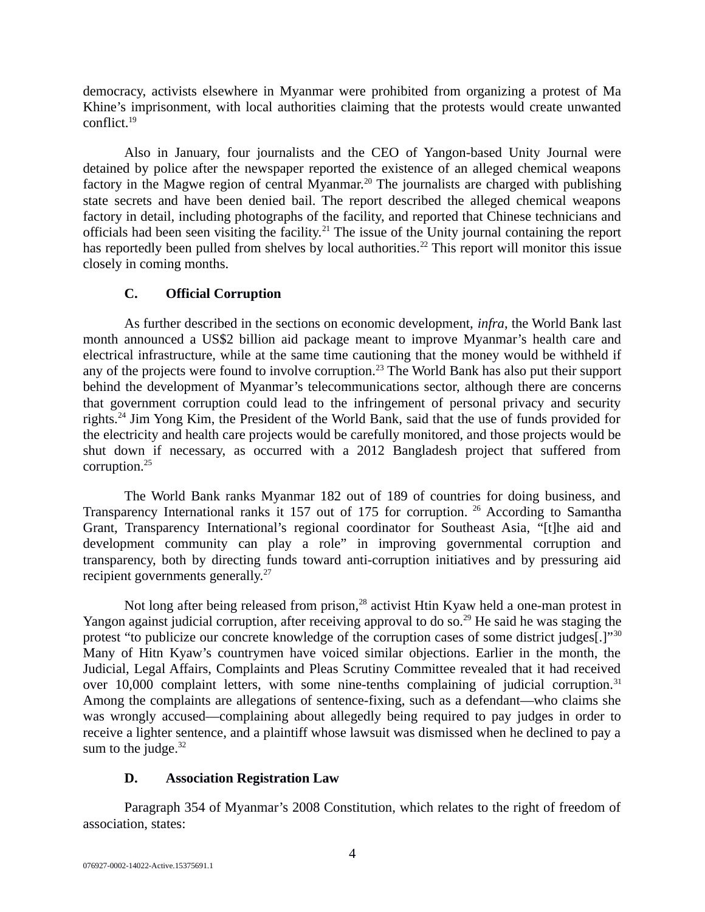democracy, activists elsewhere in Myanmar were prohibited from organizing a protest of Ma Khine's imprisonment, with local authorities claiming that the protests would create unwanted conflict.<sup>19</sup>

Also in January, four journalists and the CEO of Yangon-based Unity Journal were detained by police after the newspaper reported the existence of an alleged chemical weapons factory in the Magwe region of central Myanmar.<sup>20</sup> The journalists are charged with publishing state secrets and have been denied bail. The report described the alleged chemical weapons factory in detail, including photographs of the facility, and reported that Chinese technicians and officials had been seen visiting the facility.<sup>21</sup> The issue of the Unity journal containing the report has reportedly been pulled from shelves by local authorities.<sup>22</sup> This report will monitor this issue closely in coming months.

# <span id="page-3-1"></span>**C. Official Corruption**

As further described in the sections on economic development, *infra*, the World Bank last month announced a US\$2 billion aid package meant to improve Myanmar's health care and electrical infrastructure, while at the same time cautioning that the money would be withheld if any of the projects were found to involve corruption.<sup>23</sup> The World Bank has also put their support behind the development of Myanmar's telecommunications sector, although there are concerns that government corruption could lead to the infringement of personal privacy and security rights.<sup>24</sup> Jim Yong Kim, the President of the World Bank, said that the use of funds provided for the electricity and health care projects would be carefully monitored, and those projects would be shut down if necessary, as occurred with a 2012 Bangladesh project that suffered from corruption.<sup>25</sup>

The World Bank ranks Myanmar 182 out of 189 of countries for doing business, and Transparency International ranks it 157 out of 175 for corruption. <sup>26</sup> According to Samantha Grant, Transparency International's regional coordinator for Southeast Asia, "[t]he aid and development community can play a role" in improving governmental corruption and transparency, both by directing funds toward anti-corruption initiatives and by pressuring aid recipient governments generally.<sup>27</sup>

Not long after being released from prison,<sup>28</sup> activist Htin Kyaw held a one-man protest in Yangon against judicial corruption, after receiving approval to do so.<sup>29</sup> He said he was staging the protest "to publicize our concrete knowledge of the corruption cases of some district judges[.]"<sup>30</sup> Many of Hitn Kyaw's countrymen have voiced similar objections. Earlier in the month, the Judicial, Legal Affairs, Complaints and Pleas Scrutiny Committee revealed that it had received over 10,000 complaint letters, with some nine-tenths complaining of judicial corruption.<sup>31</sup> Among the complaints are allegations of sentence-fixing, such as a defendant—who claims she was wrongly accused—complaining about allegedly being required to pay judges in order to receive a lighter sentence, and a plaintiff whose lawsuit was dismissed when he declined to pay a sum to the judge. $32$ 

# <span id="page-3-0"></span>**D. Association Registration Law**

Paragraph 354 of Myanmar's 2008 Constitution, which relates to the right of freedom of association, states: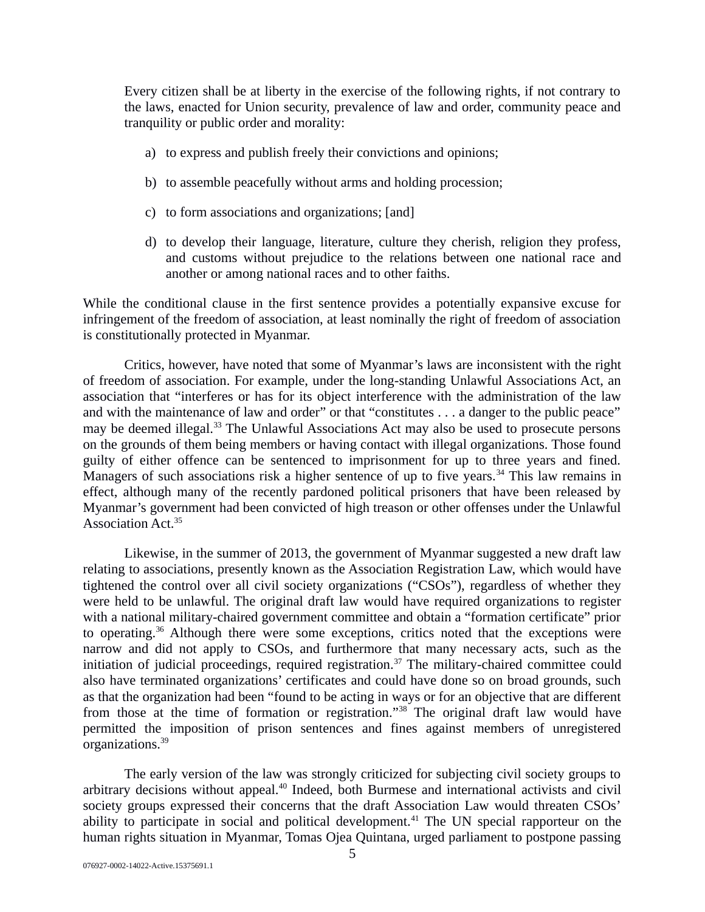Every citizen shall be at liberty in the exercise of the following rights, if not contrary to the laws, enacted for Union security, prevalence of law and order, community peace and tranquility or public order and morality:

- a) to express and publish freely their convictions and opinions;
- b) to assemble peacefully without arms and holding procession;
- c) to form associations and organizations; [and]
- d) to develop their language, literature, culture they cherish, religion they profess, and customs without prejudice to the relations between one national race and another or among national races and to other faiths.

While the conditional clause in the first sentence provides a potentially expansive excuse for infringement of the freedom of association, at least nominally the right of freedom of association is constitutionally protected in Myanmar.

Critics, however, have noted that some of Myanmar's laws are inconsistent with the right of freedom of association. For example, under the long-standing Unlawful Associations Act, an association that "interferes or has for its object interference with the administration of the law and with the maintenance of law and order" or that "constitutes . . . a danger to the public peace" may be deemed illegal.<sup>33</sup> The Unlawful Associations Act may also be used to prosecute persons on the grounds of them being members or having contact with illegal organizations. Those found guilty of either offence can be sentenced to imprisonment for up to three years and fined. Managers of such associations risk a higher sentence of up to five years.<sup>34</sup> This law remains in effect, although many of the recently pardoned political prisoners that have been released by Myanmar's government had been convicted of high treason or other offenses under the Unlawful Association Act.<sup>35</sup>

Likewise, in the summer of 2013, the government of Myanmar suggested a new draft law relating to associations, presently known as the Association Registration Law, which would have tightened the control over all civil society organizations ("CSOs"), regardless of whether they were held to be unlawful. The original draft law would have required organizations to register with a national military-chaired government committee and obtain a "formation certificate" prior to operating.<sup>36</sup> Although there were some exceptions, critics noted that the exceptions were narrow and did not apply to CSOs, and furthermore that many necessary acts, such as the initiation of judicial proceedings, required registration.<sup>37</sup> The military-chaired committee could also have terminated organizations' certificates and could have done so on broad grounds, such as that the organization had been "found to be acting in ways or for an objective that are different from those at the time of formation or registration."<sup>38</sup> The original draft law would have permitted the imposition of prison sentences and fines against members of unregistered organizations.<sup>39</sup>

The early version of the law was strongly criticized for subjecting civil society groups to arbitrary decisions without appeal.<sup>40</sup> Indeed, both Burmese and international activists and civil society groups expressed their concerns that the draft Association Law would threaten CSOs' ability to participate in social and political development.<sup>41</sup> The UN special rapporteur on the human rights situation in Myanmar, Tomas Ojea Quintana, urged parliament to postpone passing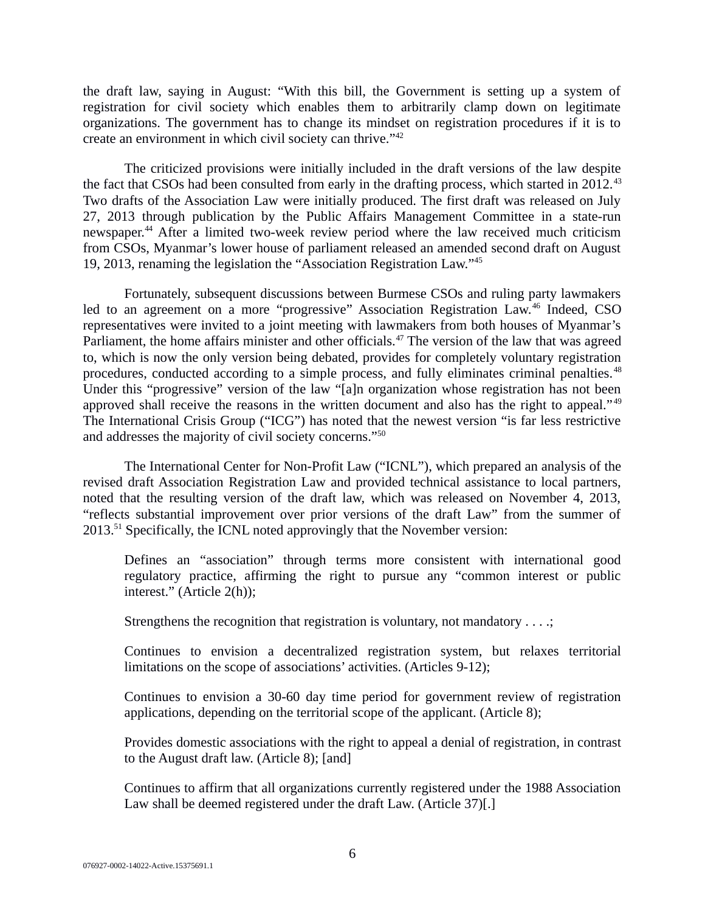the draft law, saying in August: "With this bill, the Government is setting up a system of registration for civil society which enables them to arbitrarily clamp down on legitimate organizations. The government has to change its mindset on registration procedures if it is to create an environment in which civil society can thrive."<sup>42</sup>

The criticized provisions were initially included in the draft versions of the law despite the fact that CSOs had been consulted from early in the drafting process, which started in 2012.<sup>43</sup> Two drafts of the Association Law were initially produced. The first draft was released on July 27, 2013 through publication by the Public Affairs Management Committee in a state-run newspaper.<sup>44</sup> After a limited two-week review period where the law received much criticism from CSOs, Myanmar's lower house of parliament released an amended second draft on August 19, 2013, renaming the legislation the "Association Registration Law."<sup>45</sup>

Fortunately, subsequent discussions between Burmese CSOs and ruling party lawmakers led to an agreement on a more "progressive" Association Registration Law.<sup>46</sup> Indeed, CSO representatives were invited to a joint meeting with lawmakers from both houses of Myanmar's Parliament, the home affairs minister and other officials.<sup>47</sup> The version of the law that was agreed to, which is now the only version being debated, provides for completely voluntary registration procedures, conducted according to a simple process, and fully eliminates criminal penalties.<sup>48</sup> Under this "progressive" version of the law "[a]n organization whose registration has not been approved shall receive the reasons in the written document and also has the right to appeal."<sup>49</sup> The International Crisis Group ("ICG") has noted that the newest version "is far less restrictive and addresses the majority of civil society concerns."<sup>50</sup>

The International Center for Non-Profit Law ("ICNL"), which prepared an analysis of the revised draft Association Registration Law and provided technical assistance to local partners, noted that the resulting version of the draft law, which was released on November 4, 2013, "reflects substantial improvement over prior versions of the draft Law" from the summer of 2013.<sup>51</sup> Specifically, the ICNL noted approvingly that the November version:

Defines an "association" through terms more consistent with international good regulatory practice, affirming the right to pursue any "common interest or public interest." (Article 2(h));

Strengthens the recognition that registration is voluntary, not mandatory . . . .;

Continues to envision a decentralized registration system, but relaxes territorial limitations on the scope of associations' activities. (Articles 9-12);

Continues to envision a 30-60 day time period for government review of registration applications, depending on the territorial scope of the applicant. (Article 8);

Provides domestic associations with the right to appeal a denial of registration, in contrast to the August draft law. (Article 8); [and]

Continues to affirm that all organizations currently registered under the 1988 Association Law shall be deemed registered under the draft Law. (Article 37)[.]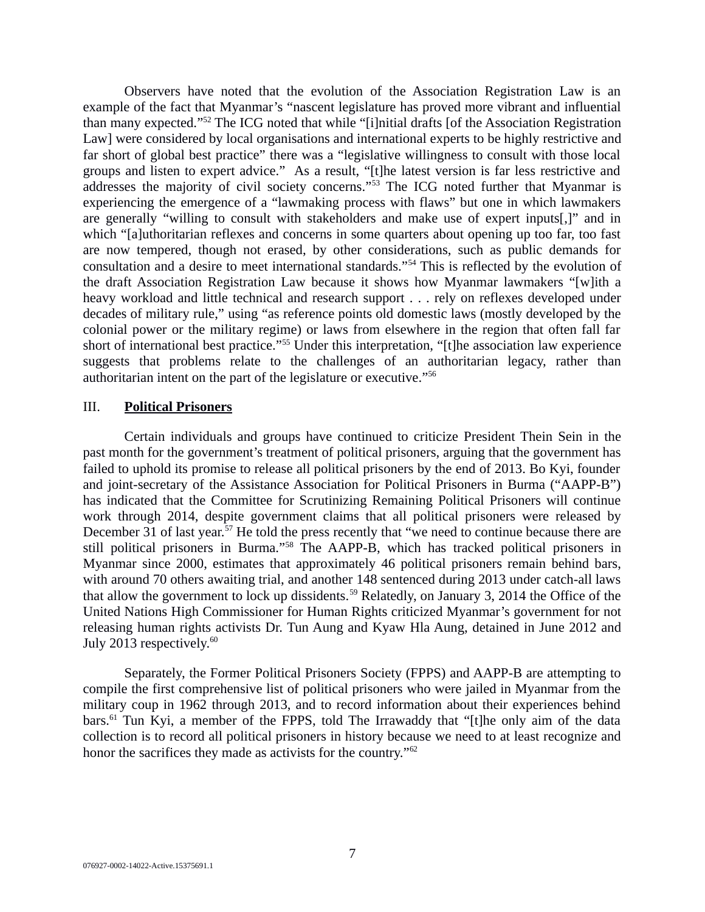Observers have noted that the evolution of the Association Registration Law is an example of the fact that Myanmar's "nascent legislature has proved more vibrant and influential than many expected."<sup>52</sup> The ICG noted that while "[i]nitial drafts [of the Association Registration Law] were considered by local organisations and international experts to be highly restrictive and far short of global best practice" there was a "legislative willingness to consult with those local groups and listen to expert advice." As a result, "[t]he latest version is far less restrictive and addresses the majority of civil society concerns."<sup>53</sup> The ICG noted further that Myanmar is experiencing the emergence of a "lawmaking process with flaws" but one in which lawmakers are generally "willing to consult with stakeholders and make use of expert inputs[,]" and in which "[a]uthoritarian reflexes and concerns in some quarters about opening up too far, too fast are now tempered, though not erased, by other considerations, such as public demands for consultation and a desire to meet international standards."<sup>54</sup> This is reflected by the evolution of the draft Association Registration Law because it shows how Myanmar lawmakers "[w]ith a heavy workload and little technical and research support . . . rely on reflexes developed under decades of military rule," using "as reference points old domestic laws (mostly developed by the colonial power or the military regime) or laws from elsewhere in the region that often fall far short of international best practice."<sup>55</sup> Under this interpretation, "[t]he association law experience suggests that problems relate to the challenges of an authoritarian legacy, rather than authoritarian intent on the part of the legislature or executive."<sup>56</sup>

#### <span id="page-6-0"></span>III. **Political Prisoners**

Certain individuals and groups have continued to criticize President Thein Sein in the past month for the government's treatment of political prisoners, arguing that the government has failed to uphold its promise to release all political prisoners by the end of 2013. Bo Kyi, founder and joint-secretary of the Assistance Association for Political Prisoners in Burma ("AAPP-B") has indicated that the Committee for Scrutinizing Remaining Political Prisoners will continue work through 2014, despite government claims that all political prisoners were released by December 31 of last year.<sup>57</sup> He told the press recently that "we need to continue because there are still political prisoners in Burma."<sup>58</sup> The AAPP-B, which has tracked political prisoners in Myanmar since 2000, estimates that approximately 46 political prisoners remain behind bars, with around 70 others awaiting trial, and another 148 sentenced during 2013 under catch-all laws that allow the government to lock up dissidents.<sup>59</sup> Relatedly, on January 3, 2014 the Office of the United Nations High Commissioner for Human Rights criticized Myanmar's government for not releasing human rights activists Dr. Tun Aung and Kyaw Hla Aung, detained in June 2012 and July 2013 respectively.<sup>60</sup>

Separately, the Former Political Prisoners Society (FPPS) and AAPP-B are attempting to compile the first comprehensive list of political prisoners who were jailed in Myanmar from the military coup in 1962 through 2013, and to record information about their experiences behind bars.<sup>61</sup> Tun Kyi, a member of the FPPS, told The Irrawaddy that "[t]he only aim of the data collection is to record all political prisoners in history because we need to at least recognize and honor the sacrifices they made as activists for the country."<sup>62</sup>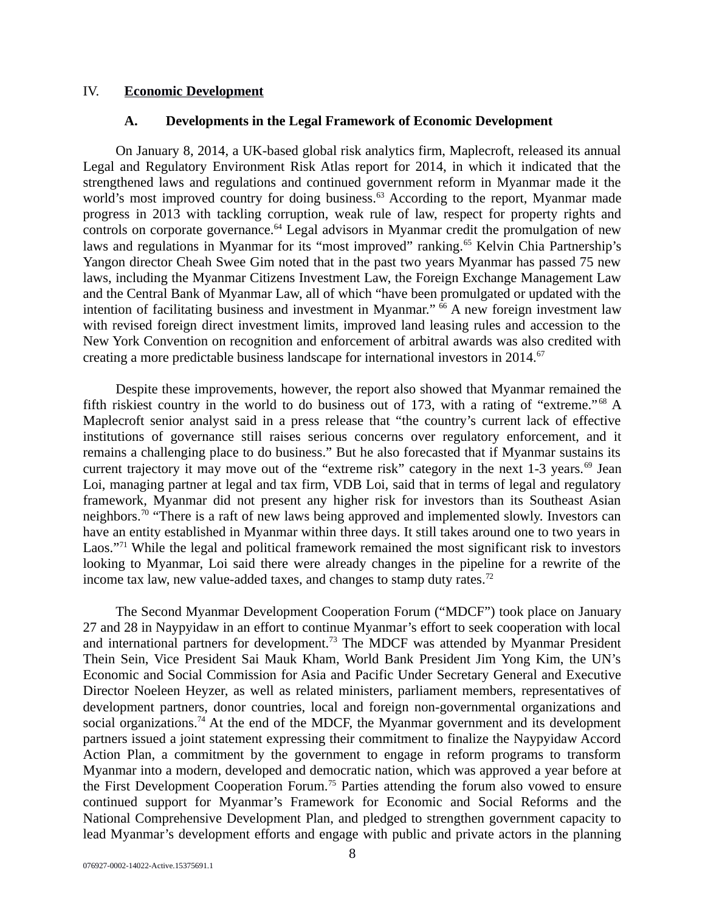#### IV. **Economic Development**

### <span id="page-7-1"></span><span id="page-7-0"></span>**A. Developments in the Legal Framework of Economic Development**

On January 8, 2014, a UK-based global risk analytics firm, Maplecroft, released its annual Legal and Regulatory Environment Risk Atlas report for 2014, in which it indicated that the strengthened laws and regulations and continued government reform in Myanmar made it the world's most improved country for doing business.<sup>63</sup> According to the report, Myanmar made progress in 2013 with tackling corruption, weak rule of law, respect for property rights and controls on corporate governance. $64$  Legal advisors in Myanmar credit the promulgation of new laws and regulations in Myanmar for its "most improved" ranking.<sup>65</sup> Kelvin Chia Partnership's Yangon director Cheah Swee Gim noted that in the past two years Myanmar has passed 75 new laws, including the Myanmar Citizens Investment Law, the Foreign Exchange Management Law and the Central Bank of Myanmar Law, all of which "have been promulgated or updated with the intention of facilitating business and investment in Myanmar."  $66$  A new foreign investment law with revised foreign direct investment limits, improved land leasing rules and accession to the New York Convention on recognition and enforcement of arbitral awards was also credited with creating a more predictable business landscape for international investors in  $2014$ .<sup>67</sup>

Despite these improvements, however, the report also showed that Myanmar remained the fifth riskiest country in the world to do business out of 173, with a rating of "extreme."  $68$  A Maplecroft senior analyst said in a press release that "the country's current lack of effective institutions of governance still raises serious concerns over regulatory enforcement, and it remains a challenging place to do business." But he also forecasted that if Myanmar sustains its current trajectory it may move out of the "extreme risk" category in the next  $1-3$  years.<sup>69</sup> Jean Loi, managing partner at legal and tax firm, VDB Loi, said that in terms of legal and regulatory framework, Myanmar did not present any higher risk for investors than its Southeast Asian neighbors.<sup>70</sup> "There is a raft of new laws being approved and implemented slowly. Investors can have an entity established in Myanmar within three days. It still takes around one to two years in Laos."<sup>71</sup> While the legal and political framework remained the most significant risk to investors looking to Myanmar, Loi said there were already changes in the pipeline for a rewrite of the income tax law, new value-added taxes, and changes to stamp duty rates.<sup>72</sup>

The Second Myanmar Development Cooperation Forum ("MDCF") took place on January 27 and 28 in Naypyidaw in an effort to continue Myanmar's effort to seek cooperation with local and international partners for development.<sup>73</sup> The MDCF was attended by Myanmar President Thein Sein, Vice President Sai Mauk Kham, World Bank President Jim Yong Kim, the UN's Economic and Social Commission for Asia and Pacific Under Secretary General and Executive Director Noeleen Heyzer, as well as related ministers, parliament members, representatives of development partners, donor countries, local and foreign non-governmental organizations and social organizations.<sup>74</sup> At the end of the MDCF, the Myanmar government and its development partners issued a joint statement expressing their commitment to finalize the Naypyidaw Accord Action Plan, a commitment by the government to engage in reform programs to transform Myanmar into a modern, developed and democratic nation, which was approved a year before at the First Development Cooperation Forum.<sup>75</sup> Parties attending the forum also vowed to ensure continued support for Myanmar's Framework for Economic and Social Reforms and the National Comprehensive Development Plan, and pledged to strengthen government capacity to lead Myanmar's development efforts and engage with public and private actors in the planning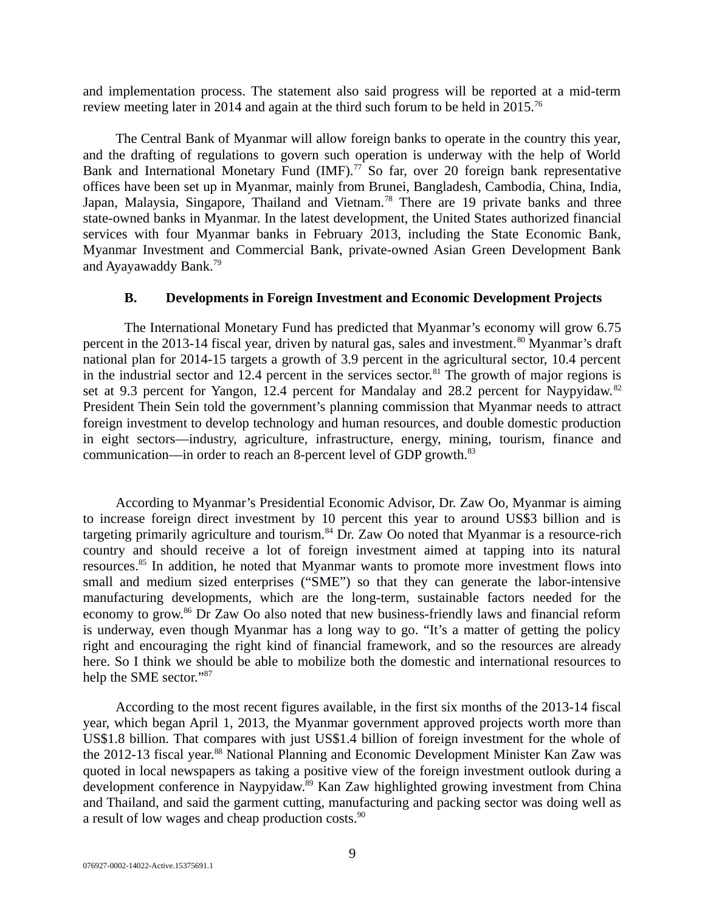and implementation process. The statement also said progress will be reported at a mid-term review meeting later in 2014 and again at the third such forum to be held in 2015.<sup>76</sup>

The Central Bank of Myanmar will allow foreign banks to operate in the country this year, and the drafting of regulations to govern such operation is underway with the help of World Bank and International Monetary Fund (IMF). $77$  So far, over 20 foreign bank representative offices have been set up in Myanmar, mainly from Brunei, Bangladesh, Cambodia, China, India, Japan, Malaysia, Singapore, Thailand and Vietnam.<sup>78</sup> There are 19 private banks and three state-owned banks in Myanmar. In the latest development, the United States authorized financial services with four Myanmar banks in February 2013, including the State Economic Bank, Myanmar Investment and Commercial Bank, private-owned Asian Green Development Bank and Ayayawaddy Bank.<sup>79</sup>

## <span id="page-8-0"></span>**B. Developments in Foreign Investment and Economic Development Projects**

The International Monetary Fund has predicted that Myanmar's economy will grow 6.75 percent in the 2013-14 fiscal year, driven by natural gas, sales and investment.<sup>80</sup> Myanmar's draft national plan for 2014-15 targets a growth of 3.9 percent in the agricultural sector, 10.4 percent in the industrial sector and 12.4 percent in the services sector.<sup>81</sup> The growth of major regions is set at 9.3 percent for Yangon, 12.4 percent for Mandalay and 28.2 percent for Naypyidaw.<sup>82</sup> President Thein Sein told the government's planning commission that Myanmar needs to attract foreign investment to develop technology and human resources, and double domestic production in eight sectors—industry, agriculture, infrastructure, energy, mining, tourism, finance and communication—in order to reach an 8-percent level of GDP growth.<sup>83</sup>

According to Myanmar's Presidential Economic Advisor, Dr. Zaw Oo, Myanmar is aiming to increase foreign direct investment by 10 percent this year to around US\$3 billion and is targeting primarily agriculture and tourism.<sup>84</sup> Dr. Zaw Oo noted that Myanmar is a resource-rich country and should receive a lot of foreign investment aimed at tapping into its natural resources.<sup>85</sup> In addition, he noted that Myanmar wants to promote more investment flows into small and medium sized enterprises ("SME") so that they can generate the labor-intensive manufacturing developments, which are the long-term, sustainable factors needed for the economy to grow.<sup>86</sup> Dr Zaw Oo also noted that new business-friendly laws and financial reform is underway, even though Myanmar has a long way to go. "It's a matter of getting the policy right and encouraging the right kind of financial framework, and so the resources are already here. So I think we should be able to mobilize both the domestic and international resources to help the SME sector."<sup>87</sup>

According to the most recent figures available, in the first six months of the 2013-14 fiscal year, which began April 1, 2013, the Myanmar government approved projects worth more than US\$1.8 billion. That compares with just US\$1.4 billion of foreign investment for the whole of the 2012-13 fiscal year.<sup>88</sup> National Planning and Economic Development Minister Kan Zaw was quoted in local newspapers as taking a positive view of the foreign investment outlook during a development conference in Naypyidaw.<sup>89</sup> Kan Zaw highlighted growing investment from China and Thailand, and said the garment cutting, manufacturing and packing sector was doing well as a result of low wages and cheap production costs.<sup>90</sup>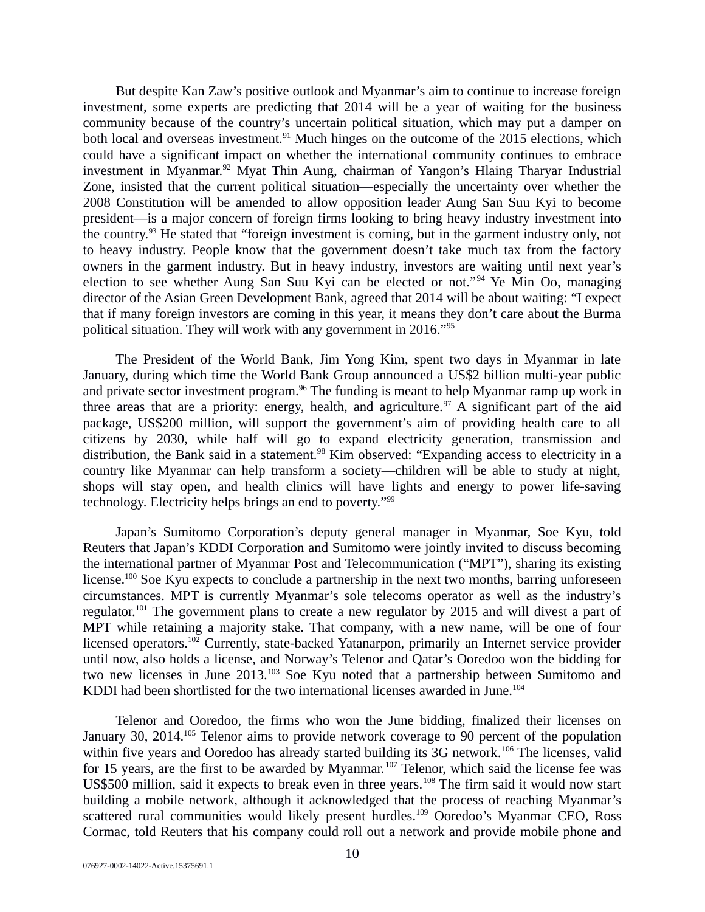But despite Kan Zaw's positive outlook and Myanmar's aim to continue to increase foreign investment, some experts are predicting that 2014 will be a year of waiting for the business community because of the country's uncertain political situation, which may put a damper on both local and overseas investment.<sup>91</sup> Much hinges on the outcome of the 2015 elections, which could have a significant impact on whether the international community continues to embrace investment in Myanmar.<sup>92</sup> Myat Thin Aung, chairman of Yangon's Hlaing Tharyar Industrial Zone, insisted that the current political situation—especially the uncertainty over whether the 2008 Constitution will be amended to allow opposition leader Aung San Suu Kyi to become president—is a major concern of foreign firms looking to bring heavy industry investment into the country.<sup>93</sup> He stated that "foreign investment is coming, but in the garment industry only, not to heavy industry. People know that the government doesn't take much tax from the factory owners in the garment industry. But in heavy industry, investors are waiting until next year's election to see whether Aung San Suu Kyi can be elected or not."<sup>94</sup> Ye Min Oo, managing director of the Asian Green Development Bank, agreed that 2014 will be about waiting: "I expect that if many foreign investors are coming in this year, it means they don't care about the Burma political situation. They will work with any government in 2016."<sup>95</sup>

The President of the World Bank, Jim Yong Kim, spent two days in Myanmar in late January, during which time the World Bank Group announced a US\$2 billion multi-year public and private sector investment program.<sup>96</sup> The funding is meant to help Myanmar ramp up work in three areas that are a priority: energy, health, and agriculture.<sup>97</sup> A significant part of the aid package, US\$200 million, will support the government's aim of providing health care to all citizens by 2030, while half will go to expand electricity generation, transmission and distribution, the Bank said in a statement.<sup>98</sup> Kim observed: "Expanding access to electricity in a country like Myanmar can help transform a society—children will be able to study at night, shops will stay open, and health clinics will have lights and energy to power life-saving technology. Electricity helps brings an end to poverty."<sup>99</sup>

Japan's Sumitomo Corporation's deputy general manager in Myanmar, Soe Kyu, told Reuters that Japan's KDDI Corporation and Sumitomo were jointly invited to discuss becoming the international partner of Myanmar Post and Telecommunication ("MPT"), sharing its existing license.<sup>100</sup> Soe Kyu expects to conclude a partnership in the next two months, barring unforeseen circumstances. MPT is currently Myanmar's sole telecoms operator as well as the industry's regulator.<sup>101</sup> The government plans to create a new regulator by 2015 and will divest a part of MPT while retaining a majority stake. That company, with a new name, will be one of four licensed operators.<sup>102</sup> Currently, state-backed Yatanarpon, primarily an Internet service provider until now, also holds a license, and Norway's Telenor and Qatar's Ooredoo won the bidding for two new licenses in June 2013.<sup>103</sup> Soe Kyu noted that a partnership between Sumitomo and KDDI had been shortlisted for the two international licenses awarded in June.<sup>104</sup>

Telenor and Ooredoo, the firms who won the June bidding, finalized their licenses on January 30, 2014.<sup>105</sup> Telenor aims to provide network coverage to 90 percent of the population within five years and Ooredoo has already started building its 3G network.<sup>106</sup> The licenses, valid for 15 years, are the first to be awarded by Myanmar.<sup>107</sup> Telenor, which said the license fee was US\$500 million, said it expects to break even in three years.<sup>108</sup> The firm said it would now start building a mobile network, although it acknowledged that the process of reaching Myanmar's scattered rural communities would likely present hurdles.<sup>109</sup> Ooredoo's Myanmar CEO, Ross Cormac, told Reuters that his company could roll out a network and provide mobile phone and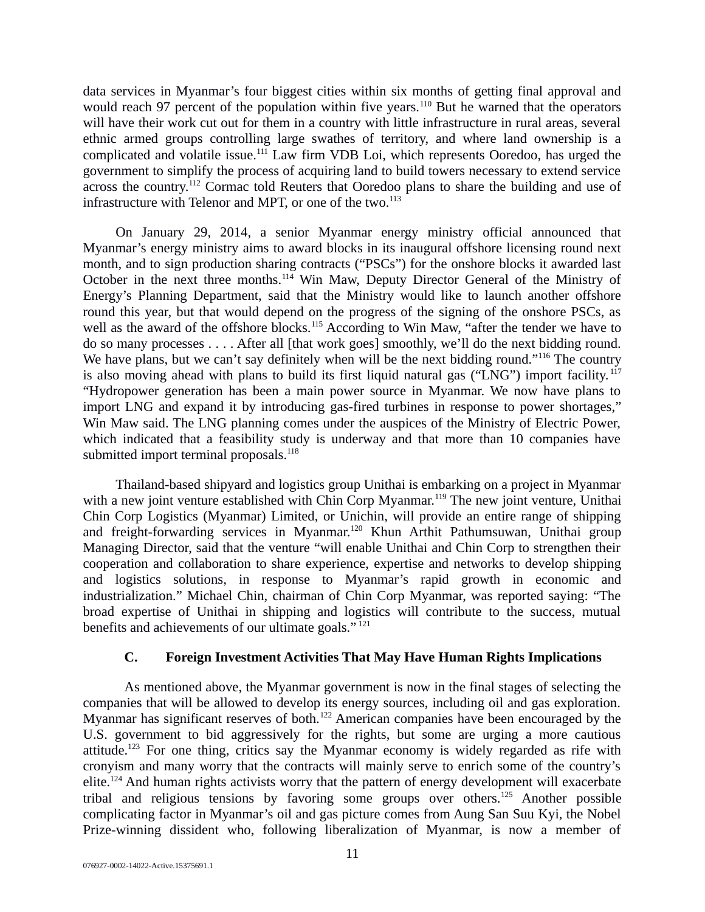data services in Myanmar's four biggest cities within six months of getting final approval and would reach 97 percent of the population within five years.<sup>110</sup> But he warned that the operators will have their work cut out for them in a country with little infrastructure in rural areas, several ethnic armed groups controlling large swathes of territory, and where land ownership is a complicated and volatile issue.<sup>111</sup> Law firm VDB Loi, which represents Ooredoo, has urged the government to simplify the process of acquiring land to build towers necessary to extend service across the country.<sup>112</sup> Cormac told Reuters that Ooredoo plans to share the building and use of infrastructure with Telenor and MPT, or one of the two. $^{113}$ 

On January 29, 2014, a senior Myanmar energy ministry official announced that Myanmar's energy ministry aims to award blocks in its inaugural offshore licensing round next month, and to sign production sharing contracts ("PSCs") for the onshore blocks it awarded last October in the next three months.<sup>114</sup> Win Maw, Deputy Director General of the Ministry of Energy's Planning Department, said that the Ministry would like to launch another offshore round this year, but that would depend on the progress of the signing of the onshore PSCs, as well as the award of the offshore blocks.<sup>115</sup> According to Win Maw, "after the tender we have to do so many processes . . . . After all [that work goes] smoothly, we'll do the next bidding round. We have plans, but we can't say definitely when will be the next bidding round."<sup>116</sup> The country is also moving ahead with plans to build its first liquid natural gas ("LNG") import facility.<sup>117</sup> "Hydropower generation has been a main power source in Myanmar. We now have plans to import LNG and expand it by introducing gas-fired turbines in response to power shortages," Win Maw said. The LNG planning comes under the auspices of the Ministry of Electric Power, which indicated that a feasibility study is underway and that more than 10 companies have submitted import terminal proposals.<sup>118</sup>

Thailand-based shipyard and logistics group Unithai is embarking on a project in Myanmar with a new joint venture established with Chin Corp Myanmar.<sup>119</sup> The new joint venture, Unithai Chin Corp Logistics (Myanmar) Limited, or Unichin, will provide an entire range of shipping and freight-forwarding services in Myanmar.<sup>120</sup> Khun Arthit Pathumsuwan, Unithai group Managing Director, said that the venture "will enable Unithai and Chin Corp to strengthen their cooperation and collaboration to share experience, expertise and networks to develop shipping and logistics solutions, in response to Myanmar's rapid growth in economic and industrialization." Michael Chin, chairman of Chin Corp Myanmar, was reported saying: "The broad expertise of Unithai in shipping and logistics will contribute to the success, mutual benefits and achievements of our ultimate goals."<sup>121</sup>

## <span id="page-10-0"></span>**C. Foreign Investment Activities That May Have Human Rights Implications**

As mentioned above, the Myanmar government is now in the final stages of selecting the companies that will be allowed to develop its energy sources, including oil and gas exploration. Myanmar has significant reserves of both.<sup>122</sup> American companies have been encouraged by the U.S. government to bid aggressively for the rights, but some are urging a more cautious attitude.<sup>123</sup> For one thing, critics say the Myanmar economy is widely regarded as rife with cronyism and many worry that the contracts will mainly serve to enrich some of the country's elite.<sup>124</sup> And human rights activists worry that the pattern of energy development will exacerbate tribal and religious tensions by favoring some groups over others.<sup>125</sup> Another possible complicating factor in Myanmar's oil and gas picture comes from Aung San Suu Kyi, the Nobel Prize-winning dissident who, following liberalization of Myanmar, is now a member of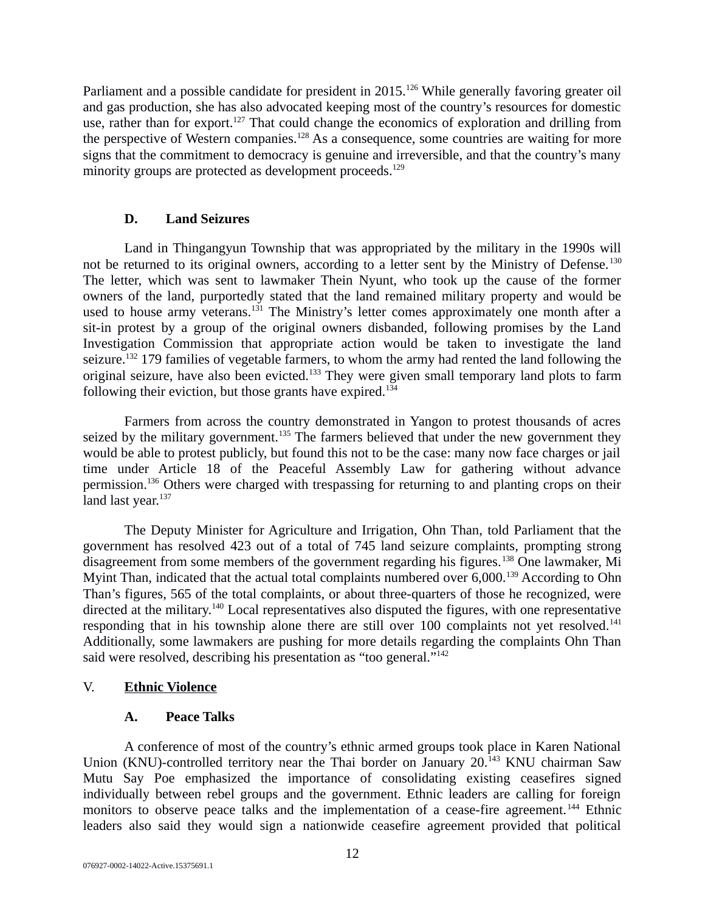Parliament and a possible candidate for president in 2015.<sup>126</sup> While generally favoring greater oil and gas production, she has also advocated keeping most of the country's resources for domestic use, rather than for export.<sup>127</sup> That could change the economics of exploration and drilling from the perspective of Western companies.<sup>128</sup> As a consequence, some countries are waiting for more signs that the commitment to democracy is genuine and irreversible, and that the country's many minority groups are protected as development proceeds.<sup>129</sup>

## <span id="page-11-2"></span>**D. Land Seizures**

Land in Thingangyun Township that was appropriated by the military in the 1990s will not be returned to its original owners, according to a letter sent by the Ministry of Defense.<sup>130</sup> The letter, which was sent to lawmaker Thein Nyunt, who took up the cause of the former owners of the land, purportedly stated that the land remained military property and would be used to house army veterans.<sup>131</sup> The Ministry's letter comes approximately one month after a sit-in protest by a group of the original owners disbanded, following promises by the Land Investigation Commission that appropriate action would be taken to investigate the land seizure.<sup>132</sup> 179 families of vegetable farmers, to whom the army had rented the land following the original seizure, have also been evicted.<sup>133</sup> They were given small temporary land plots to farm following their eviction, but those grants have expired. $134$ 

Farmers from across the country demonstrated in Yangon to protest thousands of acres seized by the military government.<sup>135</sup> The farmers believed that under the new government they would be able to protest publicly, but found this not to be the case: many now face charges or jail time under Article 18 of the Peaceful Assembly Law for gathering without advance permission.<sup>136</sup> Others were charged with trespassing for returning to and planting crops on their land last year.<sup>137</sup>

The Deputy Minister for Agriculture and Irrigation, Ohn Than, told Parliament that the government has resolved 423 out of a total of 745 land seizure complaints, prompting strong disagreement from some members of the government regarding his figures.<sup>138</sup> One lawmaker, Mi Myint Than, indicated that the actual total complaints numbered over 6,000.<sup>139</sup> According to Ohn Than's figures, 565 of the total complaints, or about three-quarters of those he recognized, were directed at the military.<sup>140</sup> Local representatives also disputed the figures, with one representative responding that in his township alone there are still over 100 complaints not yet resolved.<sup>141</sup> Additionally, some lawmakers are pushing for more details regarding the complaints Ohn Than said were resolved, describing his presentation as "too general."<sup>142</sup>

## V. **Ethnic Violence**

## <span id="page-11-1"></span><span id="page-11-0"></span>**A. Peace Talks**

A conference of most of the country's ethnic armed groups took place in Karen National Union (KNU)-controlled territory near the Thai border on January 20.<sup>143</sup> KNU chairman Saw Mutu Say Poe emphasized the importance of consolidating existing ceasefires signed individually between rebel groups and the government. Ethnic leaders are calling for foreign monitors to observe peace talks and the implementation of a cease-fire agreement.<sup>144</sup> Ethnic leaders also said they would sign a nationwide ceasefire agreement provided that political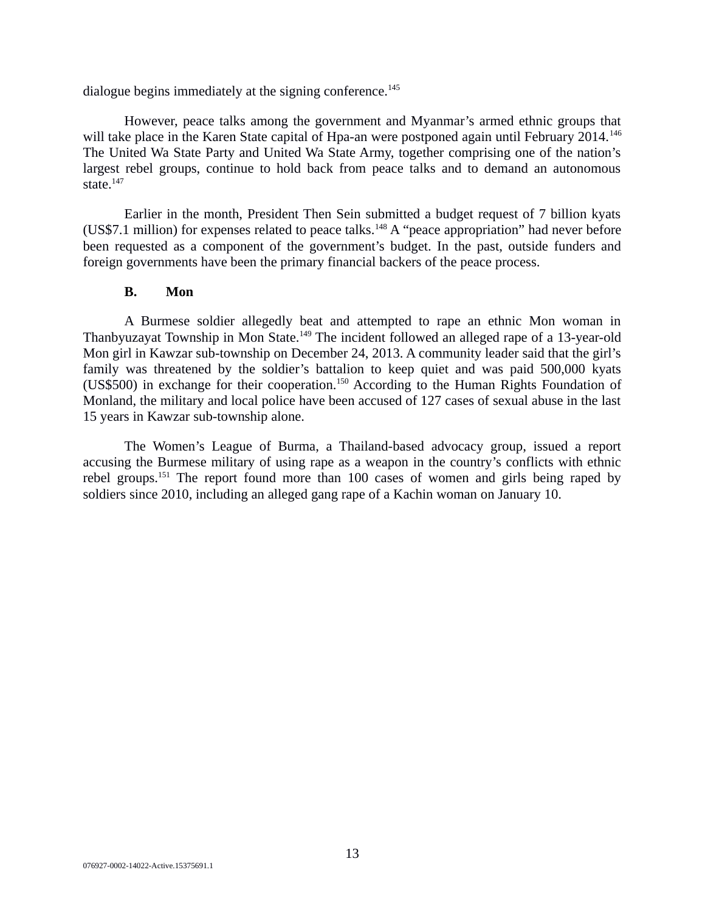dialogue begins immediately at the signing conference.<sup>145</sup>

However, peace talks among the government and Myanmar's armed ethnic groups that will take place in the Karen State capital of Hpa-an were postponed again until February 2014.<sup>146</sup> The United Wa State Party and United Wa State Army, together comprising one of the nation's largest rebel groups, continue to hold back from peace talks and to demand an autonomous state. $147$ 

Earlier in the month, President Then Sein submitted a budget request of 7 billion kyats (US\$7.1 million) for expenses related to peace talks.<sup>148</sup> A "peace appropriation" had never before been requested as a component of the government's budget. In the past, outside funders and foreign governments have been the primary financial backers of the peace process.

### <span id="page-12-0"></span>**B. Mon**

A Burmese soldier allegedly beat and attempted to rape an ethnic Mon woman in Thanbyuzayat Township in Mon State.<sup>149</sup> The incident followed an alleged rape of a 13-year-old Mon girl in Kawzar sub-township on December 24, 2013. A community leader said that the girl's family was threatened by the soldier's battalion to keep quiet and was paid 500,000 kyats (US\$500) in exchange for their cooperation.<sup>150</sup> According to the Human Rights Foundation of Monland, the military and local police have been accused of 127 cases of sexual abuse in the last 15 years in Kawzar sub-township alone.

The Women's League of Burma, a Thailand-based advocacy group, issued a report accusing the Burmese military of using rape as a weapon in the country's conflicts with ethnic rebel groups.<sup>151</sup> The report found more than 100 cases of women and girls being raped by soldiers since 2010, including an alleged gang rape of a Kachin woman on January 10.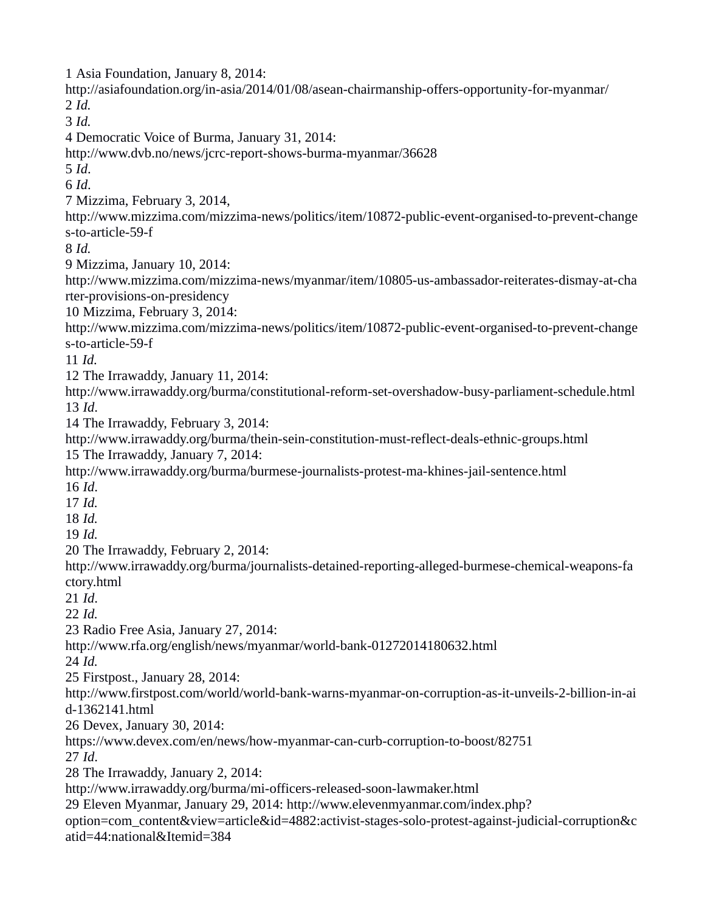1 Asia Foundation, January 8, 2014: http://asiafoundation.org/in-asia/2014/01/08/asean-chairmanship-offers-opportunity-for-myanmar/ 2 *Id.* 3 *Id.* 4 Democratic Voice of Burma, January 31, 2014: http://www.dvb.no/news/jcrc-report-shows-burma-myanmar/36628 5 *Id*. 6 *Id*. 7 Mizzima, February 3, 2014, http://www.mizzima.com/mizzima-news/politics/item/10872-public-event-organised-to-prevent-change s-to-article-59-f 8 *Id.* 9 Mizzima, January 10, 2014: http://www.mizzima.com/mizzima-news/myanmar/item/10805-us-ambassador-reiterates-dismay-at-cha rter-provisions-on-presidency 10 Mizzima, February 3, 2014: http://www.mizzima.com/mizzima-news/politics/item/10872-public-event-organised-to-prevent-change s-to-article-59-f 11 *Id.* 12 The Irrawaddy, January 11, 2014: http://www.irrawaddy.org/burma/constitutional-reform-set-overshadow-busy-parliament-schedule.html 13 *Id*. 14 The Irrawaddy, February 3, 2014: http://www.irrawaddy.org/burma/thein-sein-constitution-must-reflect-deals-ethnic-groups.html 15 The Irrawaddy, January 7, 2014: http://www.irrawaddy.org/burma/burmese-journalists-protest-ma-khines-jail-sentence.html 16 *Id*. 17 *Id.*  18 *Id.*  19 *Id.*  20 The Irrawaddy, February 2, 2014: http://www.irrawaddy.org/burma/journalists-detained-reporting-alleged-burmese-chemical-weapons-fa ctory.html 21 *Id*. 22 *Id.*  23 Radio Free Asia, January 27, 2014: http://www.rfa.org/english/news/myanmar/world-bank-01272014180632.html 24 *Id.* 25 Firstpost., January 28, 2014: http://www.firstpost.com/world/world-bank-warns-myanmar-on-corruption-as-it-unveils-2-billion-in-ai d-1362141.html 26 Devex, January 30, 2014: https://www.devex.com/en/news/how-myanmar-can-curb-corruption-to-boost/82751 27 *Id*. 28 The Irrawaddy, January 2, 2014: http://www.irrawaddy.org/burma/mi-officers-released-soon-lawmaker.html 29 Eleven Myanmar, January 29, 2014: http://www.elevenmyanmar.com/index.php? option=com\_content&view=article&id=4882:activist-stages-solo-protest-against-judicial-corruption&c atid=44:national&Itemid=384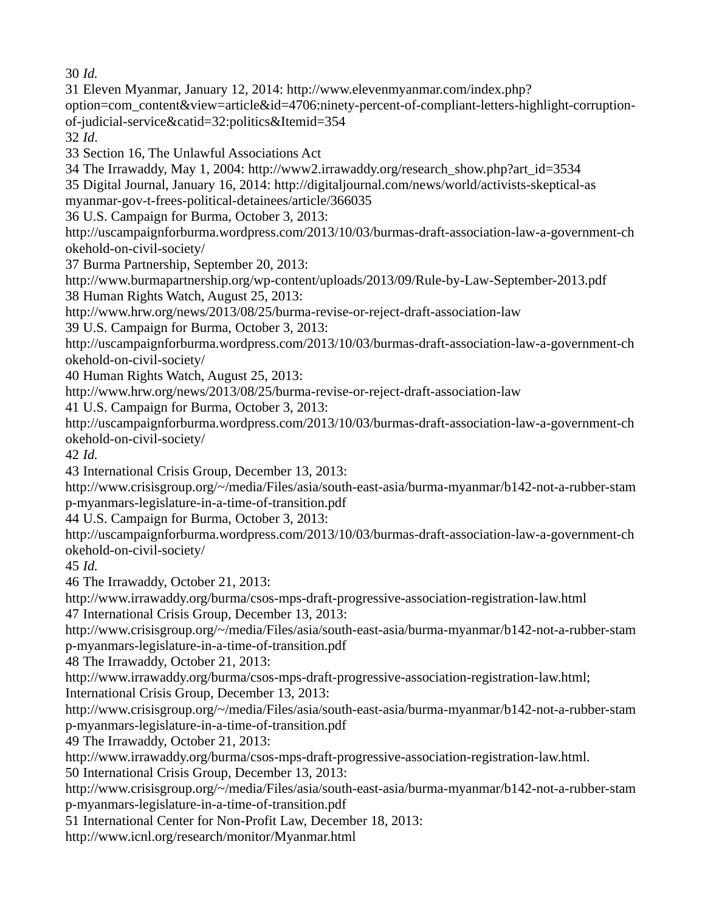30 *Id.*

31 Eleven Myanmar, January 12, 2014: http://www.elevenmyanmar.com/index.php? option=com\_content&view=article&id=4706:ninety-percent-of-compliant-letters-highlight-corruptionof-judicial-service&catid=32:politics&Itemid=354 32 *Id*. 33 Section 16, The Unlawful Associations Act 34 The Irrawaddy, May 1, 2004: http://www2.irrawaddy.org/research\_show.php?art\_id=3534 35 Digital Journal, January 16, 2014: http://digitaljournal.com/news/world/activists-skeptical-as myanmar-gov-t-frees-political-detainees/article/366035 36 U.S. Campaign for Burma, October 3, 2013: http://uscampaignforburma.wordpress.com/2013/10/03/burmas-draft-association-law-a-government-ch okehold-on-civil-society/ 37 Burma Partnership, September 20, 2013: http://www.burmapartnership.org/wp-content/uploads/2013/09/Rule-by-Law-September-2013.pdf 38 Human Rights Watch, August 25, 2013: http://www.hrw.org/news/2013/08/25/burma-revise-or-reject-draft-association-law 39 U.S. Campaign for Burma, October 3, 2013: http://uscampaignforburma.wordpress.com/2013/10/03/burmas-draft-association-law-a-government-ch okehold-on-civil-society/ 40 Human Rights Watch, August 25, 2013: http://www.hrw.org/news/2013/08/25/burma-revise-or-reject-draft-association-law 41 U.S. Campaign for Burma, October 3, 2013: http://uscampaignforburma.wordpress.com/2013/10/03/burmas-draft-association-law-a-government-ch okehold-on-civil-society/ 42 *Id.* 43 International Crisis Group, December 13, 2013: http://www.crisisgroup.org/~/media/Files/asia/south-east-asia/burma-myanmar/b142-not-a-rubber-stam p-myanmars-legislature-in-a-time-of-transition.pdf 44 U.S. Campaign for Burma, October 3, 2013: http://uscampaignforburma.wordpress.com/2013/10/03/burmas-draft-association-law-a-government-ch okehold-on-civil-society/ 45 *Id.* 46 The Irrawaddy, October 21, 2013: http://www.irrawaddy.org/burma/csos-mps-draft-progressive-association-registration-law.html 47 International Crisis Group, December 13, 2013: http://www.crisisgroup.org/~/media/Files/asia/south-east-asia/burma-myanmar/b142-not-a-rubber-stam p-myanmars-legislature-in-a-time-of-transition.pdf 48 The Irrawaddy, October 21, 2013: http://www.irrawaddy.org/burma/csos-mps-draft-progressive-association-registration-law.html; International Crisis Group, December 13, 2013: http://www.crisisgroup.org/~/media/Files/asia/south-east-asia/burma-myanmar/b142-not-a-rubber-stam p-myanmars-legislature-in-a-time-of-transition.pdf 49 The Irrawaddy, October 21, 2013: http://www.irrawaddy.org/burma/csos-mps-draft-progressive-association-registration-law.html. 50 International Crisis Group, December 13, 2013: http://www.crisisgroup.org/~/media/Files/asia/south-east-asia/burma-myanmar/b142-not-a-rubber-stam p-myanmars-legislature-in-a-time-of-transition.pdf 51 International Center for Non-Profit Law, December 18, 2013: http://www.icnl.org/research/monitor/Myanmar.html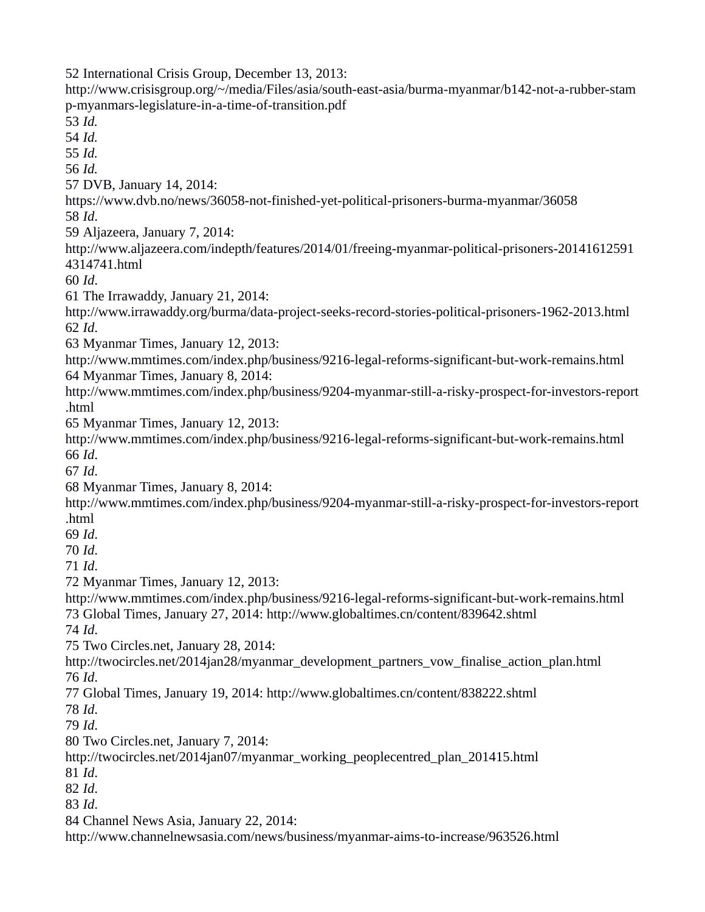International Crisis Group, December 13, 2013: http://www.crisisgroup.org/~/media/Files/asia/south-east-asia/burma-myanmar/b142-not-a-rubber-stam p-myanmars-legislature-in-a-time-of-transition.pdf *Id. Id. Id. Id.* DVB, January 14, 2014: https://www.dvb.no/news/36058-not-finished-yet-political-prisoners-burma-myanmar/36058 *Id*. Aljazeera, January 7, 2014: http://www.aljazeera.com/indepth/features/2014/01/freeing-myanmar-political-prisoners-20141612591 4314741.html *Id*. The Irrawaddy, January 21, 2014: http://www.irrawaddy.org/burma/data-project-seeks-record-stories-political-prisoners-1962-2013.html *Id*. Myanmar Times, January 12, 2013: http://www.mmtimes.com/index.php/business/9216-legal-reforms-significant-but-work-remains.html Myanmar Times, January 8, 2014: http://www.mmtimes.com/index.php/business/9204-myanmar-still-a-risky-prospect-for-investors-report .html Myanmar Times, January 12, 2013: http://www.mmtimes.com/index.php/business/9216-legal-reforms-significant-but-work-remains.html *Id*. *Id*. Myanmar Times, January 8, 2014: http://www.mmtimes.com/index.php/business/9204-myanmar-still-a-risky-prospect-for-investors-report .html *Id*. *Id*. *Id*. Myanmar Times, January 12, 2013: http://www.mmtimes.com/index.php/business/9216-legal-reforms-significant-but-work-remains.html Global Times, January 27, 2014: http://www.globaltimes.cn/content/839642.shtml *Id*. Two Circles.net, January 28, 2014: http://twocircles.net/2014jan28/myanmar\_development\_partners\_vow\_finalise\_action\_plan.html *Id*. Global Times, January 19, 2014: http://www.globaltimes.cn/content/838222.shtml *Id*. *Id*. Two Circles.net, January 7, 2014: http://twocircles.net/2014jan07/myanmar\_working\_peoplecentred\_plan\_201415.html *Id*. *Id*. *Id*. Channel News Asia, January 22, 2014: http://www.channelnewsasia.com/news/business/myanmar-aims-to-increase/963526.html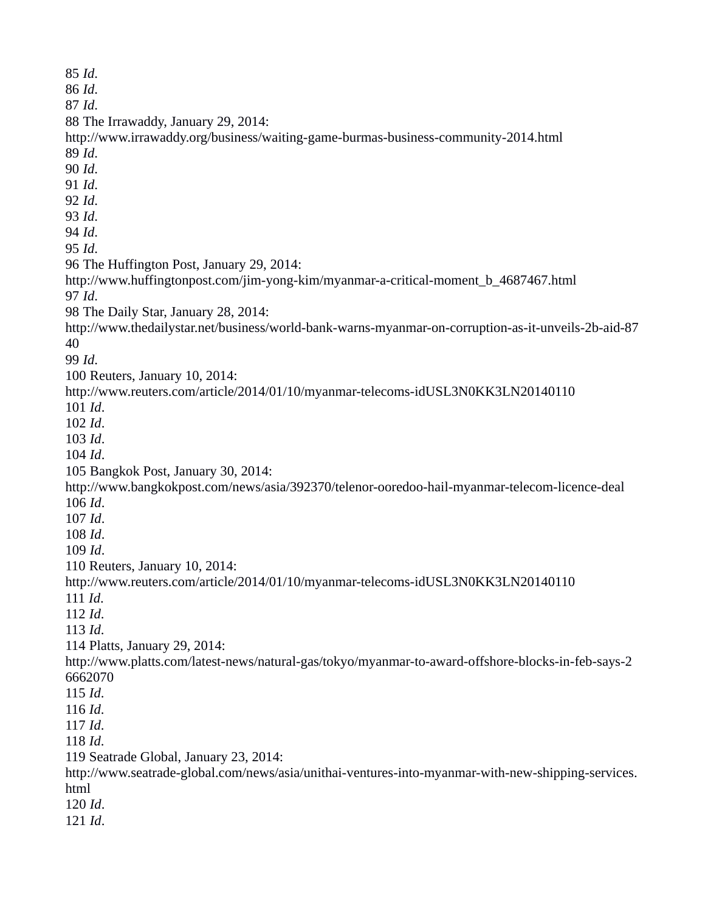*Id*. *Id*. *Id*. The Irrawaddy, January 29, 2014: http://www.irrawaddy.org/business/waiting-game-burmas-business-community-2014.html *Id*. *Id*. *Id*. *Id*. *Id*. *Id*. *Id*. The Huffington Post, January 29, 2014: http://www.huffingtonpost.com/jim-yong-kim/myanmar-a-critical-moment\_b\_4687467.html *Id*. The Daily Star, January 28, 2014: http://www.thedailystar.net/business/world-bank-warns-myanmar-on-corruption-as-it-unveils-2b-aid-87 *Id*. Reuters, January 10, 2014: http://www.reuters.com/article/2014/01/10/myanmar-telecoms-idUSL3N0KK3LN20140110 *Id*. *Id*. *Id*. *Id*. Bangkok Post, January 30, 2014: http://www.bangkokpost.com/news/asia/392370/telenor-ooredoo-hail-myanmar-telecom-licence-deal *Id*. *Id*. *Id*. *Id*. Reuters, January 10, 2014: http://www.reuters.com/article/2014/01/10/myanmar-telecoms-idUSL3N0KK3LN20140110 *Id*. *Id*. *Id*. Platts, January 29, 2014: http://www.platts.com/latest-news/natural-gas/tokyo/myanmar-to-award-offshore-blocks-in-feb-says-2 *Id*. *Id*. *Id*. *Id*. Seatrade Global, January 23, 2014: http://www.seatrade-global.com/news/asia/unithai-ventures-into-myanmar-with-new-shipping-services. html *Id*. *Id*.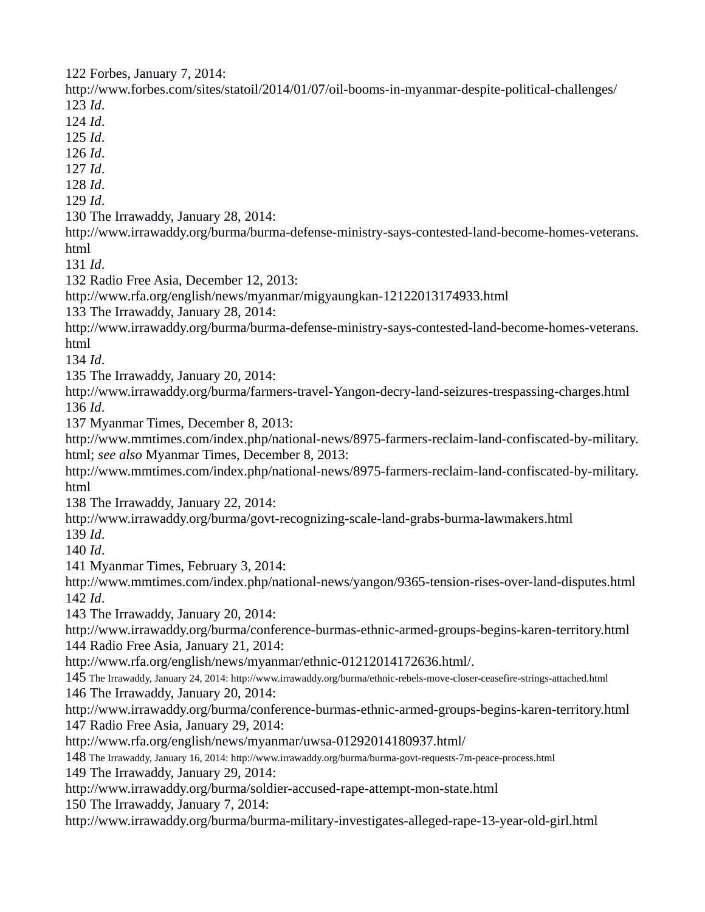Forbes, January 7, 2014:

http://www.forbes.com/sites/statoil/2014/01/07/oil-booms-in-myanmar-despite-political-challenges/ *Id*.

*Id*.

*Id*.

*Id*.

*Id*.

*Id*.

*Id*.

The Irrawaddy, January 28, 2014:

http://www.irrawaddy.org/burma/burma-defense-ministry-says-contested-land-become-homes-veterans. html

*Id*.

Radio Free Asia, December 12, 2013:

http://www.rfa.org/english/news/myanmar/migyaungkan-12122013174933.html

The Irrawaddy, January 28, 2014:

http://www.irrawaddy.org/burma/burma-defense-ministry-says-contested-land-become-homes-veterans. html

*Id*.

The Irrawaddy, January 20, 2014:

http://www.irrawaddy.org/burma/farmers-travel-Yangon-decry-land-seizures-trespassing-charges.html *Id*.

Myanmar Times, December 8, 2013:

http://www.mmtimes.com/index.php/national-news/8975-farmers-reclaim-land-confiscated-by-military. html; *see also* Myanmar Times, December 8, 2013:

http://www.mmtimes.com/index.php/national-news/8975-farmers-reclaim-land-confiscated-by-military. html

The Irrawaddy, January 22, 2014:

http://www.irrawaddy.org/burma/govt-recognizing-scale-land-grabs-burma-lawmakers.html

*Id*.

*Id*.

Myanmar Times, February 3, 2014:

http://www.mmtimes.com/index.php/national-news/yangon/9365-tension-rises-over-land-disputes.html *Id*.

The Irrawaddy, January 20, 2014:

http://www.irrawaddy.org/burma/conference-burmas-ethnic-armed-groups-begins-karen-territory.html Radio Free Asia, January 21, 2014:

http://www.rfa.org/english/news/myanmar/ethnic-01212014172636.html/.

 The Irrawaddy, January 24, 2014: http://www.irrawaddy.org/burma/ethnic-rebels-move-closer-ceasefire-strings-attached.html The Irrawaddy, January 20, 2014:

http://www.irrawaddy.org/burma/conference-burmas-ethnic-armed-groups-begins-karen-territory.html Radio Free Asia, January 29, 2014:

http://www.rfa.org/english/news/myanmar/uwsa-01292014180937.html/

The Irrawaddy, January 16, 2014: http://www.irrawaddy.org/burma/burma-govt-requests-7m-peace-process.html

The Irrawaddy, January 29, 2014:

http://www.irrawaddy.org/burma/soldier-accused-rape-attempt-mon-state.html

The Irrawaddy, January 7, 2014:

http://www.irrawaddy.org/burma/burma-military-investigates-alleged-rape-13-year-old-girl.html